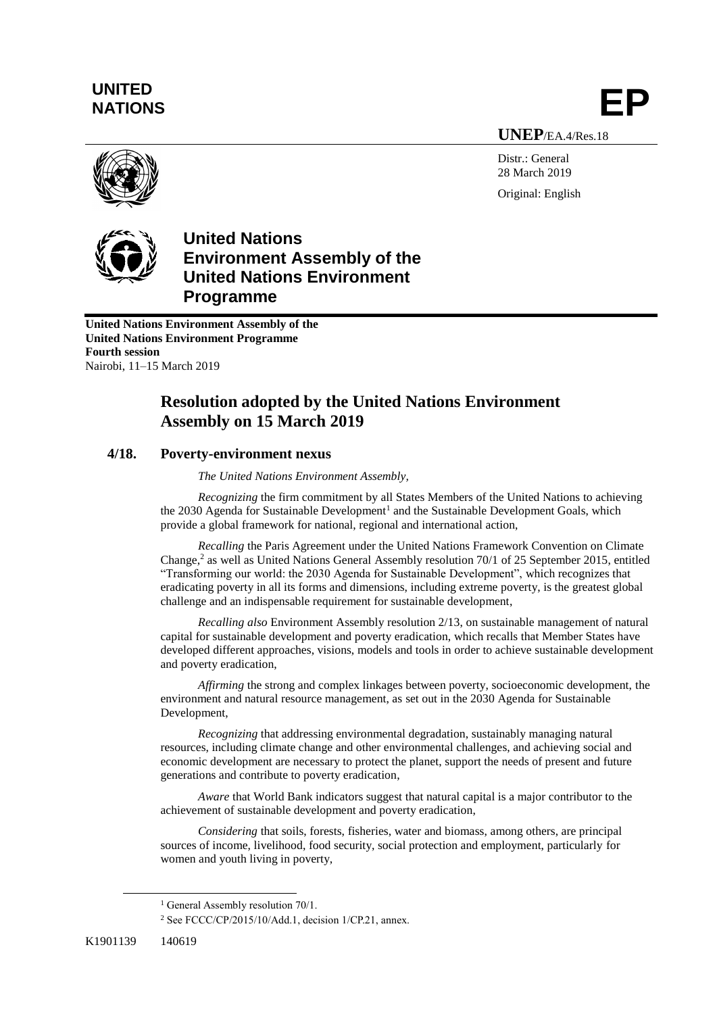# **UNITED** UNITED<br>NATIONS **EP**

**UNEP**/EA.4/Res.18

Distr.: General 28 March 2019 Original: English





**United Nations Environment Assembly of the United Nations Environment Programme Fourth session** Nairobi, 11–15 March 2019

# **Resolution adopted by the United Nations Environment Assembly on 15 March 2019**

# **4/18. Poverty-environment nexus**

*The United Nations Environment Assembly,*

*Recognizing* the firm commitment by all States Members of the United Nations to achieving the 2030 Agenda for Sustainable Development<sup>1</sup> and the Sustainable Development Goals, which provide a global framework for national, regional and international action,

*Recalling* the Paris Agreement under the United Nations Framework Convention on Climate Change, 2 as well as United Nations General Assembly resolution 70/1 of 25 September 2015, entitled "Transforming our world: the 2030 Agenda for Sustainable Development", which recognizes that eradicating poverty in all its forms and dimensions, including extreme poverty, is the greatest global challenge and an indispensable requirement for sustainable development,

*Recalling also* Environment Assembly resolution 2/13, on sustainable management of natural capital for sustainable development and poverty eradication, which recalls that Member States have developed different approaches, visions, models and tools in order to achieve sustainable development and poverty eradication,

*Affirming* the strong and complex linkages between poverty, socioeconomic development, the environment and natural resource management, as set out in the 2030 Agenda for Sustainable Development,

*Recognizing* that addressing environmental degradation, sustainably managing natural resources, including climate change and other environmental challenges, and achieving social and economic development are necessary to protect the planet, support the needs of present and future generations and contribute to poverty eradication,

*Aware* that World Bank indicators suggest that natural capital is a major contributor to the achievement of sustainable development and poverty eradication,

*Considering* that soils, forests, fisheries, water and biomass, among others, are principal sources of income, livelihood, food security, social protection and employment, particularly for women and youth living in poverty,

 $\overline{a}$ 

<sup>&</sup>lt;sup>1</sup> General Assembly resolution 70/1.

<sup>2</sup> See FCCC/CP/2015/10/Add.1, decision 1/CP.21, annex.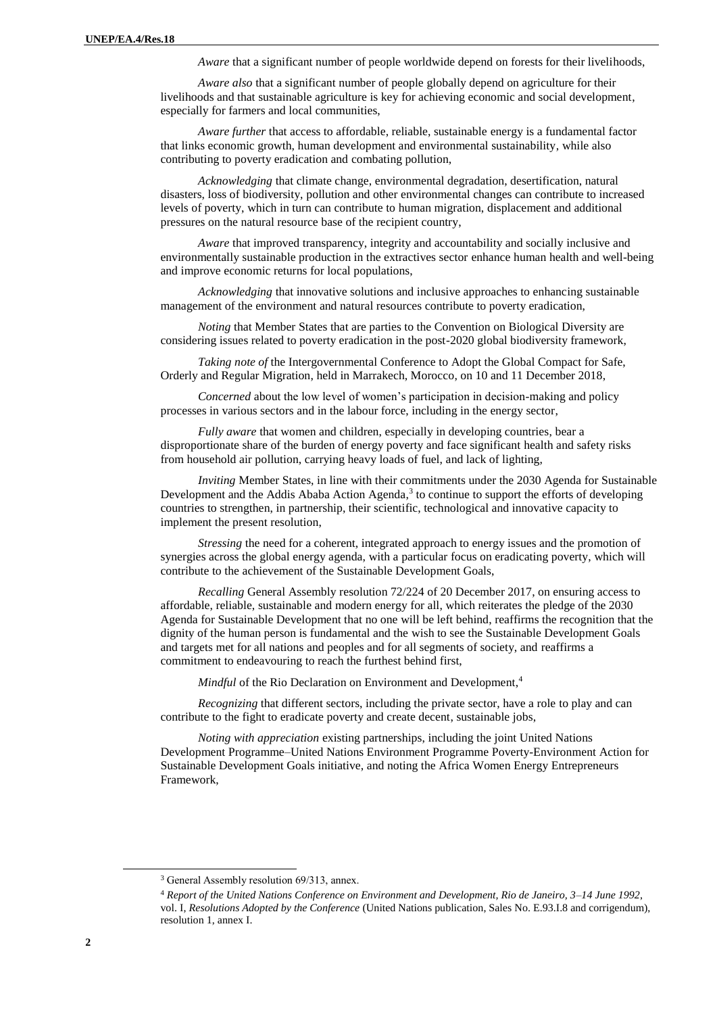*Aware* that a significant number of people worldwide depend on forests for their livelihoods,

*Aware also* that a significant number of people globally depend on agriculture for their livelihoods and that sustainable agriculture is key for achieving economic and social development, especially for farmers and local communities,

*Aware further* that access to affordable, reliable, sustainable energy is a fundamental factor that links economic growth, human development and environmental sustainability, while also contributing to poverty eradication and combating pollution,

*Acknowledging* that climate change, environmental degradation, desertification, natural disasters, loss of biodiversity, pollution and other environmental changes can contribute to increased levels of poverty, which in turn can contribute to human migration, displacement and additional pressures on the natural resource base of the recipient country,

*Aware* that improved transparency, integrity and accountability and socially inclusive and environmentally sustainable production in the extractives sector enhance human health and well-being and improve economic returns for local populations,

*Acknowledging* that innovative solutions and inclusive approaches to enhancing sustainable management of the environment and natural resources contribute to poverty eradication,

*Noting* that Member States that are parties to the Convention on Biological Diversity are considering issues related to poverty eradication in the post-2020 global biodiversity framework,

*Taking note of* the Intergovernmental Conference to Adopt the Global Compact for Safe, Orderly and Regular Migration, held in Marrakech, Morocco, on 10 and 11 December 2018,

*Concerned* about the low level of women's participation in decision-making and policy processes in various sectors and in the labour force, including in the energy sector,

*Fully aware* that women and children, especially in developing countries, bear a disproportionate share of the burden of energy poverty and face significant health and safety risks from household air pollution, carrying heavy loads of fuel, and lack of lighting,

*Inviting* Member States, in line with their commitments under the 2030 Agenda for Sustainable Development and the Addis Ababa Action Agenda,<sup>3</sup> to continue to support the efforts of developing countries to strengthen, in partnership, their scientific, technological and innovative capacity to implement the present resolution,

*Stressing* the need for a coherent, integrated approach to energy issues and the promotion of synergies across the global energy agenda, with a particular focus on eradicating poverty, which will contribute to the achievement of the Sustainable Development Goals,

*Recalling* General Assembly resolution 72/224 of 20 December 2017, on ensuring access to affordable, reliable, sustainable and modern energy for all, which reiterates the pledge of the 2030 Agenda for Sustainable Development that no one will be left behind, reaffirms the recognition that the dignity of the human person is fundamental and the wish to see the Sustainable Development Goals and targets met for all nations and peoples and for all segments of society, and reaffirms a commitment to endeavouring to reach the furthest behind first,

*Mindful* of the Rio Declaration on Environment and Development, 4

*Recognizing* that different sectors, including the private sector, have a role to play and can contribute to the fight to eradicate poverty and create decent, sustainable jobs,

*Noting with appreciation* existing partnerships, including the joint United Nations Development Programme–United Nations Environment Programme Poverty-Environment Action for Sustainable Development Goals initiative, and noting the Africa Women Energy Entrepreneurs Framework,

 $\overline{a}$ 

<sup>&</sup>lt;sup>3</sup> General Assembly resolution 69/313, annex.

<sup>4</sup> *Report of the United Nations Conference on Environment and Development, Rio de Janeiro, 3–14 June 1992*, vol. I, *Resolutions Adopted by the Conference* (United Nations publication, Sales No. E.93.I.8 and corrigendum), resolution 1, annex I.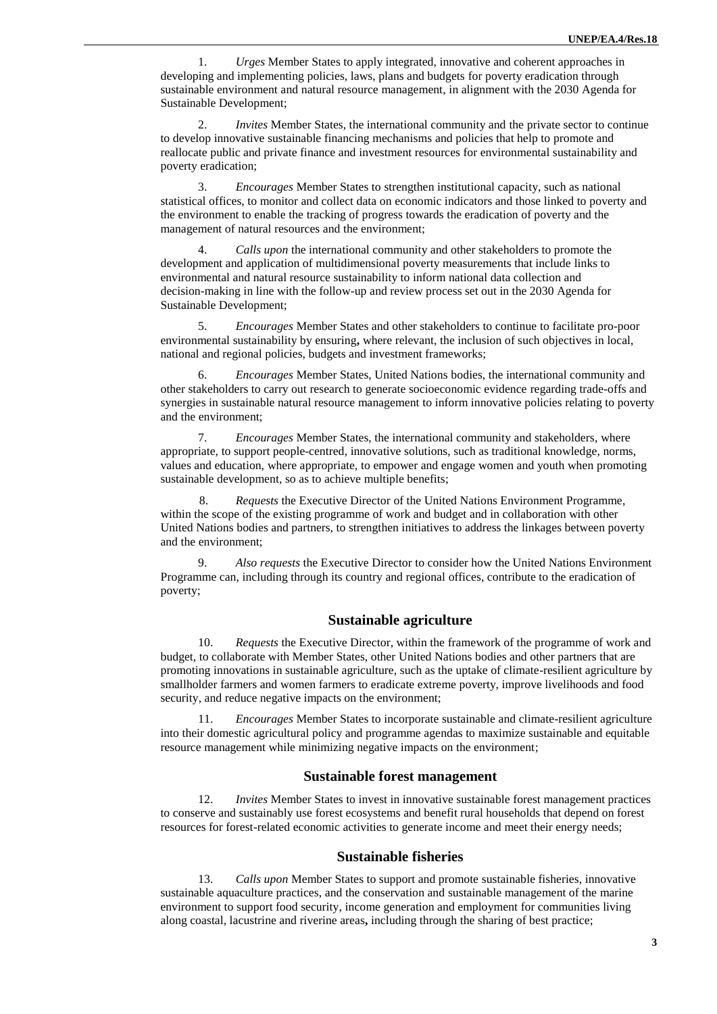1. *Urges* Member States to apply integrated, innovative and coherent approaches in developing and implementing policies, laws, plans and budgets for poverty eradication through sustainable environment and natural resource management, in alignment with the 2030 Agenda for Sustainable Development;

2. *Invites* Member States, the international community and the private sector to continue to develop innovative sustainable financing mechanisms and policies that help to promote and reallocate public and private finance and investment resources for environmental sustainability and poverty eradication;

3. *Encourages* Member States to strengthen institutional capacity, such as national statistical offices, to monitor and collect data on economic indicators and those linked to poverty and the environment to enable the tracking of progress towards the eradication of poverty and the management of natural resources and the environment;

4. *Calls upon* the international community and other stakeholders to promote the development and application of multidimensional poverty measurements that include links to environmental and natural resource sustainability to inform national data collection and decision-making in line with the follow-up and review process set out in the 2030 Agenda for Sustainable Development;

5. *Encourages* Member States and other stakeholders to continue to facilitate pro-poor environmental sustainability by ensuring**,** where relevant, the inclusion of such objectives in local, national and regional policies, budgets and investment frameworks;

6. *Encourages* Member States, United Nations bodies, the international community and other stakeholders to carry out research to generate socioeconomic evidence regarding trade-offs and synergies in sustainable natural resource management to inform innovative policies relating to poverty and the environment;

7. *Encourages* Member States, the international community and stakeholders, where appropriate, to support people-centred, innovative solutions, such as traditional knowledge, norms, values and education, where appropriate, to empower and engage women and youth when promoting sustainable development, so as to achieve multiple benefits;

8. *Requests* the Executive Director of the United Nations Environment Programme, within the scope of the existing programme of work and budget and in collaboration with other United Nations bodies and partners, to strengthen initiatives to address the linkages between poverty and the environment;

9. *Also requests* the Executive Director to consider how the United Nations Environment Programme can, including through its country and regional offices, contribute to the eradication of poverty;

## **Sustainable agriculture**

10. *Requests* the Executive Director, within the framework of the programme of work and budget, to collaborate with Member States, other United Nations bodies and other partners that are promoting innovations in sustainable agriculture, such as the uptake of climate-resilient agriculture by smallholder farmers and women farmers to eradicate extreme poverty, improve livelihoods and food security, and reduce negative impacts on the environment;

11. *Encourages* Member States to incorporate sustainable and climate-resilient agriculture into their domestic agricultural policy and programme agendas to maximize sustainable and equitable resource management while minimizing negative impacts on the environment;

#### **Sustainable forest management**

12. *Invites* Member States to invest in innovative sustainable forest management practices to conserve and sustainably use forest ecosystems and benefit rural households that depend on forest resources for forest-related economic activities to generate income and meet their energy needs;

#### **Sustainable fisheries**

13. *Calls upon* Member States to support and promote sustainable fisheries, innovative sustainable aquaculture practices, and the conservation and sustainable management of the marine environment to support food security, income generation and employment for communities living along coastal, lacustrine and riverine areas**,** including through the sharing of best practice;